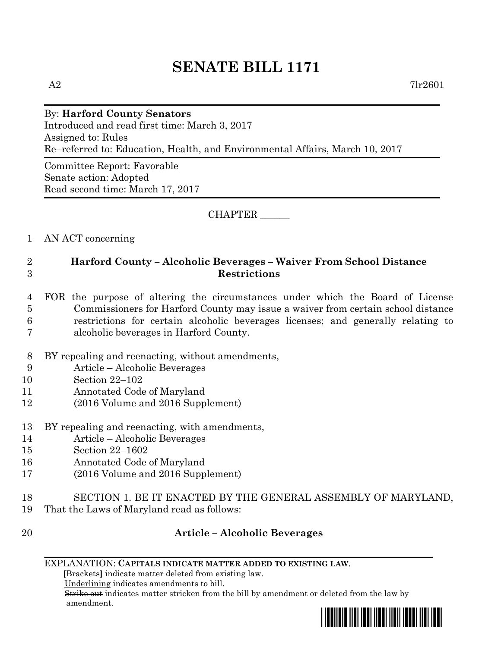# **SENATE BILL 1171**

## By: **Harford County Senators**

Introduced and read first time: March 3, 2017 Assigned to: Rules Re–referred to: Education, Health, and Environmental Affairs, March 10, 2017

Committee Report: Favorable Senate action: Adopted Read second time: March 17, 2017

#### CHAPTER \_\_\_\_\_\_

#### 1 AN ACT concerning

### 2 **Harford County – Alcoholic Beverages – Waiver From School Distance**  3 **Restrictions**

#### 4 FOR the purpose of altering the circumstances under which the Board of License 5 Commissioners for Harford County may issue a waiver from certain school distance 6 restrictions for certain alcoholic beverages licenses; and generally relating to 7 alcoholic beverages in Harford County.

- 8 BY repealing and reenacting, without amendments,
- 9 Article Alcoholic Beverages
- 10 Section 22–102
- 11 Annotated Code of Maryland
- 12 (2016 Volume and 2016 Supplement)
- 13 BY repealing and reenacting, with amendments,
- 14 Article Alcoholic Beverages
- 15 Section 22–1602
- 16 Annotated Code of Maryland
- 17 (2016 Volume and 2016 Supplement)
- 18 SECTION 1. BE IT ENACTED BY THE GENERAL ASSEMBLY OF MARYLAND,
- 19 That the Laws of Maryland read as follows:
- 

#### 20 **Article – Alcoholic Beverages**

#### EXPLANATION: **CAPITALS INDICATE MATTER ADDED TO EXISTING LAW**.

 **[**Brackets**]** indicate matter deleted from existing law.

Underlining indicates amendments to bill.

 Strike out indicates matter stricken from the bill by amendment or deleted from the law by amendment.

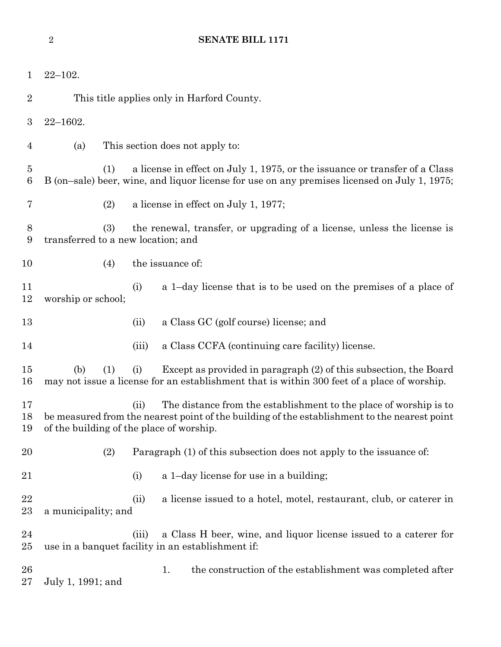| $\mathbf 1$         | $22 - 102.$                                                                                                                                                                        |                                 |                                                                                                                                                                   |  |
|---------------------|------------------------------------------------------------------------------------------------------------------------------------------------------------------------------------|---------------------------------|-------------------------------------------------------------------------------------------------------------------------------------------------------------------|--|
| $\overline{2}$      | This title applies only in Harford County.                                                                                                                                         |                                 |                                                                                                                                                                   |  |
| 3                   | $22 - 1602.$                                                                                                                                                                       |                                 |                                                                                                                                                                   |  |
| $\overline{4}$      | (a)                                                                                                                                                                                | This section does not apply to: |                                                                                                                                                                   |  |
| $\overline{5}$<br>6 | a license in effect on July 1, 1975, or the issuance or transfer of a Class<br>(1)<br>B (on-sale) beer, wine, and liquor license for use on any premises licensed on July 1, 1975; |                                 |                                                                                                                                                                   |  |
| 7                   | (2)                                                                                                                                                                                |                                 | a license in effect on July 1, 1977;                                                                                                                              |  |
| $8\,$<br>9          | (3)<br>the renewal, transfer, or upgrading of a license, unless the license is<br>transferred to a new location; and                                                               |                                 |                                                                                                                                                                   |  |
| 10                  | (4)                                                                                                                                                                                |                                 | the issuance of:                                                                                                                                                  |  |
| 11<br>12            | worship or school;                                                                                                                                                                 | (i)                             | a 1-day license that is to be used on the premises of a place of                                                                                                  |  |
| 13                  |                                                                                                                                                                                    | (ii)                            | a Class GC (golf course) license; and                                                                                                                             |  |
| 14                  |                                                                                                                                                                                    | (iii)                           | a Class CCFA (continuing care facility) license.                                                                                                                  |  |
| 15<br>16            | (b)<br>(1)                                                                                                                                                                         | (i)                             | Except as provided in paragraph (2) of this subsection, the Board<br>may not issue a license for an establishment that is within 300 feet of a place of worship.  |  |
| 17<br>18<br>19      | of the building of the place of worship.                                                                                                                                           | (ii)                            | The distance from the establishment to the place of worship is to<br>be measured from the nearest point of the building of the establishment to the nearest point |  |
| 20                  | (2)                                                                                                                                                                                |                                 | Paragraph (1) of this subsection does not apply to the issuance of:                                                                                               |  |
| 21                  |                                                                                                                                                                                    | (i)                             | a 1-day license for use in a building;                                                                                                                            |  |
| 22<br>23            | a municipality; and                                                                                                                                                                | (ii)                            | a license issued to a hotel, motel, restaurant, club, or caterer in                                                                                               |  |
| 24<br>25            |                                                                                                                                                                                    | (iii)                           | a Class H beer, wine, and liquor license issued to a caterer for<br>use in a banquet facility in an establishment if:                                             |  |
| 26<br>27            | July 1, 1991; and                                                                                                                                                                  |                                 | the construction of the establishment was completed after<br>1.                                                                                                   |  |